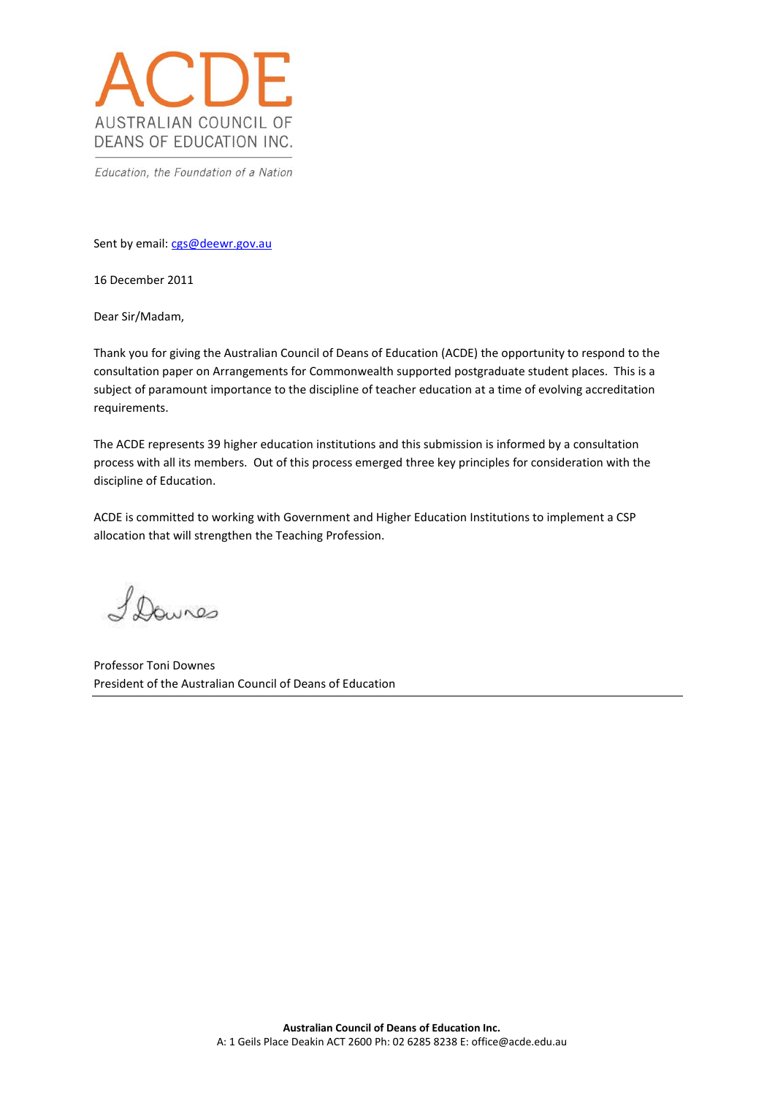

Education, the Foundation of a Nation

Sent by email: [cgs@deewr.gov.au](mailto:cgs@deewr.gov.au)

16 December 2011

Dear Sir/Madam,

Thank you for giving the Australian Council of Deans of Education (ACDE) the opportunity to respond to the consultation paper on Arrangements for Commonwealth supported postgraduate student places. This is a subject of paramount importance to the discipline of teacher education at a time of evolving accreditation requirements.

The ACDE represents 39 higher education institutions and this submission is informed by a consultation process with all its members. Out of this process emerged three key principles for consideration with the discipline of Education.

ACDE is committed to working with Government and Higher Education Institutions to implement a CSP allocation that will strengthen the Teaching Profession.

Davres

Professor Toni Downes President of the Australian Council of Deans of Education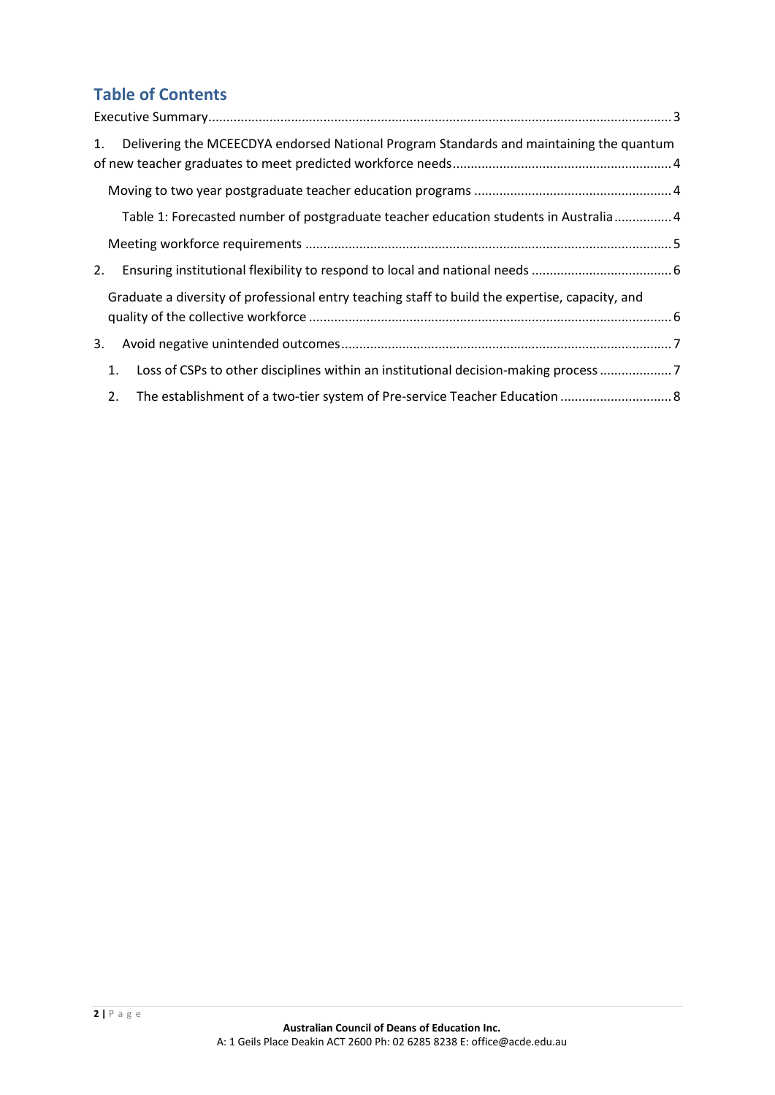# **Table of Contents**

| Delivering the MCEECDYA endorsed National Program Standards and maintaining the quantum<br>1. |  |                                                                                                 |  |  |
|-----------------------------------------------------------------------------------------------|--|-------------------------------------------------------------------------------------------------|--|--|
|                                                                                               |  |                                                                                                 |  |  |
|                                                                                               |  | Table 1: Forecasted number of postgraduate teacher education students in Australia 4            |  |  |
|                                                                                               |  |                                                                                                 |  |  |
| 2.                                                                                            |  |                                                                                                 |  |  |
|                                                                                               |  | Graduate a diversity of professional entry teaching staff to build the expertise, capacity, and |  |  |
| 3.                                                                                            |  |                                                                                                 |  |  |
| 1.                                                                                            |  | Loss of CSPs to other disciplines within an institutional decision-making process 7             |  |  |
| 2.                                                                                            |  | The establishment of a two-tier system of Pre-service Teacher Education  8                      |  |  |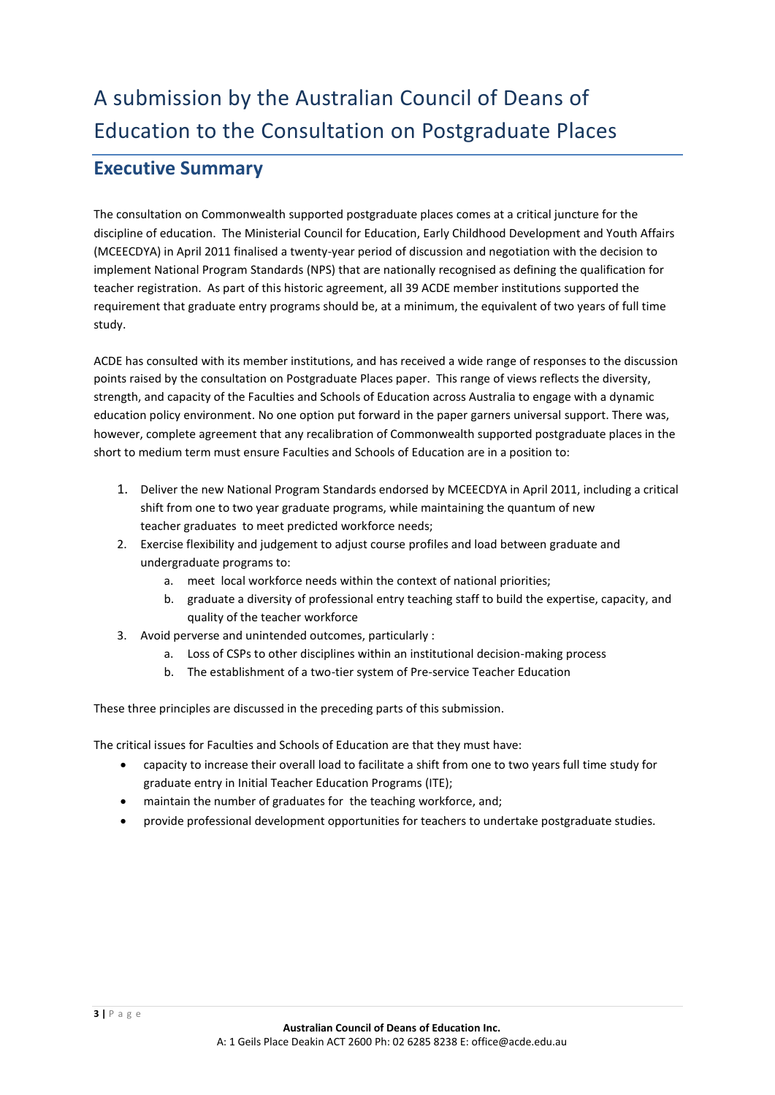## <span id="page-2-0"></span>**Executive Summary**

The consultation on Commonwealth supported postgraduate places comes at a critical juncture for the discipline of education. The Ministerial Council for Education, Early Childhood Development and Youth Affairs (MCEECDYA) in April 2011 finalised a twenty-year period of discussion and negotiation with the decision to implement National Program Standards (NPS) that are nationally recognised as defining the qualification for teacher registration. As part of this historic agreement, all 39 ACDE member institutions supported the requirement that graduate entry programs should be, at a minimum, the equivalent of two years of full time study.

ACDE has consulted with its member institutions, and has received a wide range of responses to the discussion points raised by the consultation on Postgraduate Places paper. This range of views reflects the diversity, strength, and capacity of the Faculties and Schools of Education across Australia to engage with a dynamic education policy environment. No one option put forward in the paper garners universal support. There was, however, complete agreement that any recalibration of Commonwealth supported postgraduate places in the short to medium term must ensure Faculties and Schools of Education are in a position to:

- 1. Deliver the new National Program Standards endorsed by MCEECDYA in April 2011, including a critical shift from one to two year graduate programs, while maintaining the quantum of new teacher graduates to meet predicted workforce needs;
- 2. Exercise flexibility and judgement to adjust course profiles and load between graduate and undergraduate programs to:
	- a. meet local workforce needs within the context of national priorities;
	- b. graduate a diversity of professional entry teaching staff to build the expertise, capacity, and quality of the teacher workforce
- 3. Avoid perverse and unintended outcomes, particularly :
	- a. Loss of CSPs to other disciplines within an institutional decision-making process
	- b. The establishment of a two-tier system of Pre-service Teacher Education

These three principles are discussed in the preceding parts of this submission.

The critical issues for Faculties and Schools of Education are that they must have:

- capacity to increase their overall load to facilitate a shift from one to two years full time study for graduate entry in Initial Teacher Education Programs (ITE);
- maintain the number of graduates for the teaching workforce, and;
- provide professional development opportunities for teachers to undertake postgraduate studies.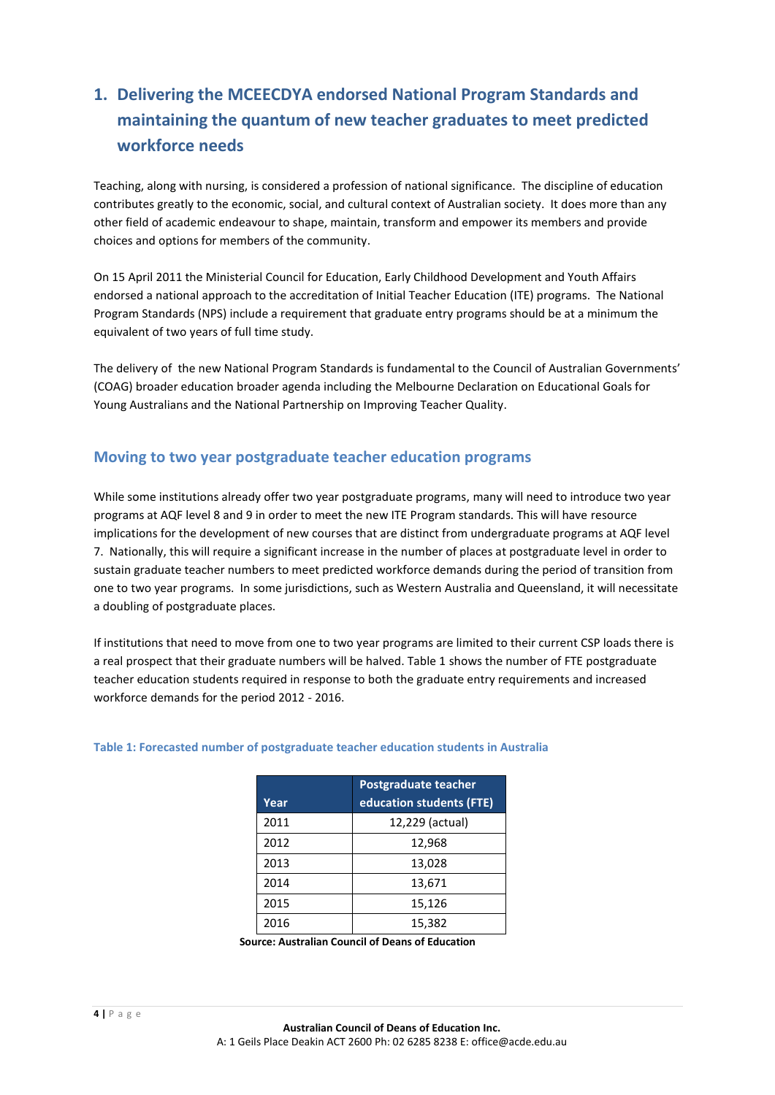# <span id="page-3-0"></span>**1. Delivering the MCEECDYA endorsed National Program Standards and maintaining the quantum of new teacher graduates to meet predicted workforce needs**

Teaching, along with nursing, is considered a profession of national significance. The discipline of education contributes greatly to the economic, social, and cultural context of Australian society. It does more than any other field of academic endeavour to shape, maintain, transform and empower its members and provide choices and options for members of the community.

On 15 April 2011 the Ministerial Council for Education, Early Childhood Development and Youth Affairs endorsed a national approach to the accreditation of Initial Teacher Education (ITE) programs. The National Program Standards (NPS) include a requirement that graduate entry programs should be at a minimum the equivalent of two years of full time study.

The delivery of the new National Program Standards is fundamental to the Council of Australian Governments' (COAG) broader education broader agenda including the [Melbourne Declaration on Educational Goals for](http://www.teacherstandards.aitsl.edu.au/Static/docs/submissions/National_Declaration_on_the_Educational_Goals_for_Young_Australians.pdf)  [Young Australians](http://www.teacherstandards.aitsl.edu.au/Static/docs/submissions/National_Declaration_on_the_Educational_Goals_for_Young_Australians.pdf) and th[e National Partnership on Improving Teacher Quality.](http://www.teacherstandards.aitsl.edu.au/Static/docs/submissions/national_partnership_on_improving_teacher_quality.pdf)

#### <span id="page-3-1"></span>**Moving to two year postgraduate teacher education programs**

While some institutions already offer two year postgraduate programs, many will need to introduce two year programs at AQF level 8 and 9 in order to meet the new ITE Program standards. This will have resource implications for the development of new courses that are distinct from undergraduate programs at AQF level 7. Nationally, this will require a significant increase in the number of places at postgraduate level in order to sustain graduate teacher numbers to meet predicted workforce demands during the period of transition from one to two year programs. In some jurisdictions, such as Western Australia and Queensland, it will necessitate a doubling of postgraduate places.

If institutions that need to move from one to two year programs are limited to their current CSP loads there is a real prospect that their graduate numbers will be halved. Table 1 shows the number of FTE postgraduate teacher education students required in response to both the graduate entry requirements and increased workforce demands for the period 2012 - 2016.

|      | Postgraduate teacher     |
|------|--------------------------|
| Year | education students (FTE) |
| 2011 | 12,229 (actual)          |
| 2012 | 12,968                   |
| 2013 | 13,028                   |
| 2014 | 13,671                   |
| 2015 | 15,126                   |
| 2016 | 15,382                   |

#### <span id="page-3-2"></span>**Table 1: Forecasted number of postgraduate teacher education students in Australia**

**Source: Australian Council of Deans of Education**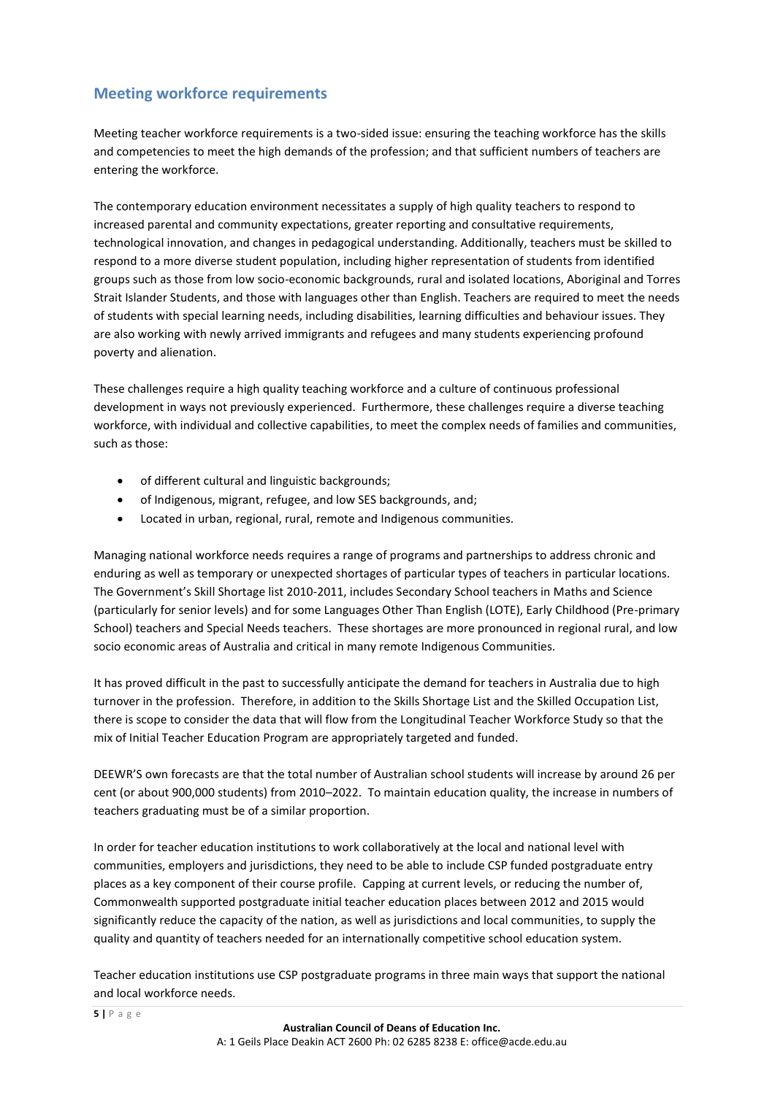#### <span id="page-4-0"></span>**Meeting workforce requirements**

Meeting teacher workforce requirements is a two-sided issue: ensuring the teaching workforce has the skills and competencies to meet the high demands of the profession; and that sufficient numbers of teachers are entering the workforce.

The contemporary education environment necessitates a supply of high quality teachers to respond to increased parental and community expectations, greater reporting and consultative requirements, technological innovation, and changes in pedagogical understanding. Additionally, teachers must be skilled to respond to a more diverse student population, including higher representation of students from identified groups such as those from low socio-economic backgrounds, rural and isolated locations, Aboriginal and Torres Strait Islander Students, and those with languages other than English. Teachers are required to meet the needs of students with special learning needs, including disabilities, learning difficulties and behaviour issues. They are also working with newly arrived immigrants and refugees and many students experiencing profound poverty and alienation.

These challenges require a high quality teaching workforce and a culture of continuous professional development in ways not previously experienced. Furthermore, these challenges require a diverse teaching workforce, with individual and collective capabilities, to meet the complex needs of families and communities, such as those:

- of different cultural and linguistic backgrounds;
- of Indigenous, migrant, refugee, and low SES backgrounds, and;
- Located in urban, regional, rural, remote and Indigenous communities.

Managing national workforce needs requires a range of programs and partnerships to address chronic and enduring as well as temporary or unexpected shortages of particular types of teachers in particular locations. The Government's Skill Shortage list 2010-2011, includes Secondary School teachers in Maths and Science (particularly for senior levels) and for some Languages Other Than English (LOTE), Early Childhood (Pre-primary School) teachers and Special Needs teachers. These shortages are more pronounced in regional rural, and low socio economic areas of Australia and critical in many remote Indigenous Communities.

It has proved difficult in the past to successfully anticipate the demand for teachers in Australia due to high turnover in the profession. Therefore, in addition to the Skills Shortage List and the Skilled Occupation List, there is scope to consider the data that will flow from the Longitudinal Teacher Workforce Study so that the mix of Initial Teacher Education Program are appropriately targeted and funded.

DEEWR'S own forecasts are that the total number of Australian school students will increase by around 26 per cent (or about 900,000 students) from 2010–2022. To maintain education quality, the increase in numbers of teachers graduating must be of a similar proportion.

In order for teacher education institutions to work collaboratively at the local and national level with communities, employers and jurisdictions, they need to be able to include CSP funded postgraduate entry places as a key component of their course profile. Capping at current levels, or reducing the number of, Commonwealth supported postgraduate initial teacher education places between 2012 and 2015 would significantly reduce the capacity of the nation, as well as jurisdictions and local communities, to supply the quality and quantity of teachers needed for an internationally competitive school education system.

Teacher education institutions use CSP postgraduate programs in three main ways that support the national and local workforce needs.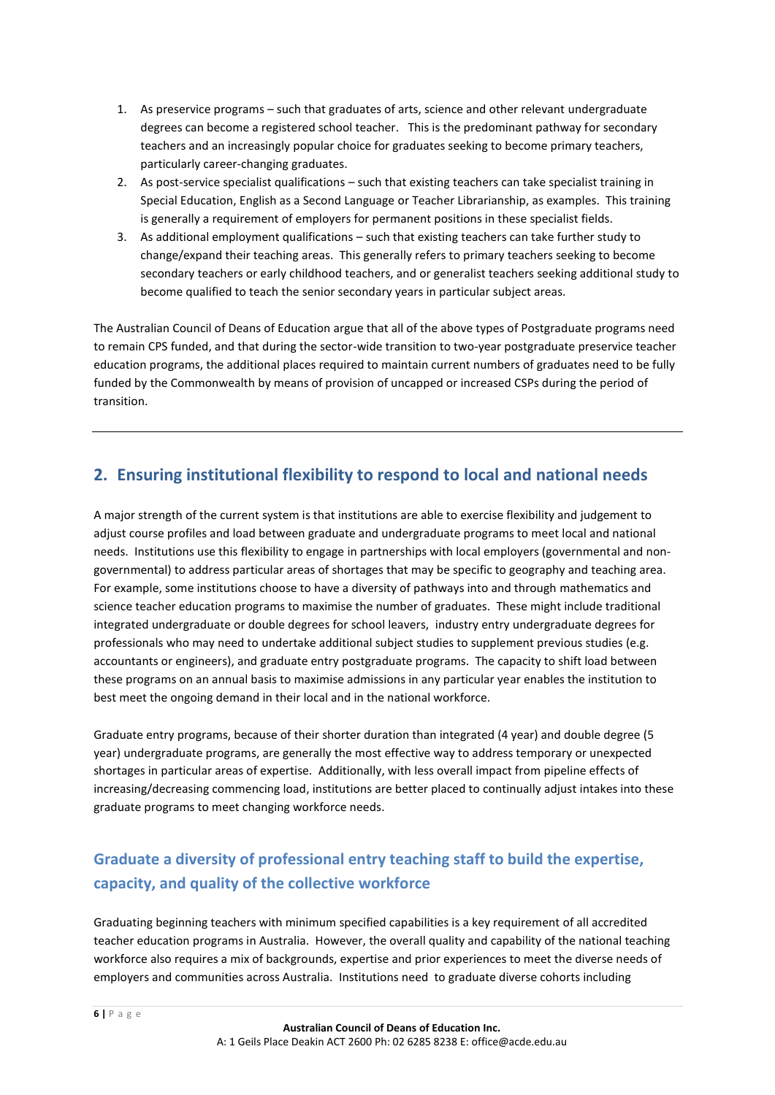- 1. As preservice programs such that graduates of arts, science and other relevant undergraduate degrees can become a registered school teacher. This is the predominant pathway for secondary teachers and an increasingly popular choice for graduates seeking to become primary teachers, particularly career-changing graduates.
- 2. As post-service specialist qualifications such that existing teachers can take specialist training in Special Education, English as a Second Language or Teacher Librarianship, as examples. This training is generally a requirement of employers for permanent positions in these specialist fields.
- 3. As additional employment qualifications such that existing teachers can take further study to change/expand their teaching areas. This generally refers to primary teachers seeking to become secondary teachers or early childhood teachers, and or generalist teachers seeking additional study to become qualified to teach the senior secondary years in particular subject areas.

The Australian Council of Deans of Education argue that all of the above types of Postgraduate programs need to remain CPS funded, and that during the sector-wide transition to two-year postgraduate preservice teacher education programs, the additional places required to maintain current numbers of graduates need to be fully funded by the Commonwealth by means of provision of uncapped or increased CSPs during the period of transition.

## <span id="page-5-0"></span>**2. Ensuring institutional flexibility to respond to local and national needs**

A major strength of the current system is that institutions are able to exercise flexibility and judgement to adjust course profiles and load between graduate and undergraduate programs to meet local and national needs. Institutions use this flexibility to engage in partnerships with local employers (governmental and nongovernmental) to address particular areas of shortages that may be specific to geography and teaching area. For example, some institutions choose to have a diversity of pathways into and through mathematics and science teacher education programs to maximise the number of graduates. These might include traditional integrated undergraduate or double degrees for school leavers, industry entry undergraduate degrees for professionals who may need to undertake additional subject studies to supplement previous studies (e.g. accountants or engineers), and graduate entry postgraduate programs. The capacity to shift load between these programs on an annual basis to maximise admissions in any particular year enables the institution to best meet the ongoing demand in their local and in the national workforce.

Graduate entry programs, because of their shorter duration than integrated (4 year) and double degree (5 year) undergraduate programs, are generally the most effective way to address temporary or unexpected shortages in particular areas of expertise. Additionally, with less overall impact from pipeline effects of increasing/decreasing commencing load, institutions are better placed to continually adjust intakes into these graduate programs to meet changing workforce needs.

## <span id="page-5-1"></span>**Graduate a diversity of professional entry teaching staff to build the expertise, capacity, and quality of the collective workforce**

Graduating beginning teachers with minimum specified capabilities is a key requirement of all accredited teacher education programs in Australia. However, the overall quality and capability of the national teaching workforce also requires a mix of backgrounds, expertise and prior experiences to meet the diverse needs of employers and communities across Australia. Institutions need to graduate diverse cohorts including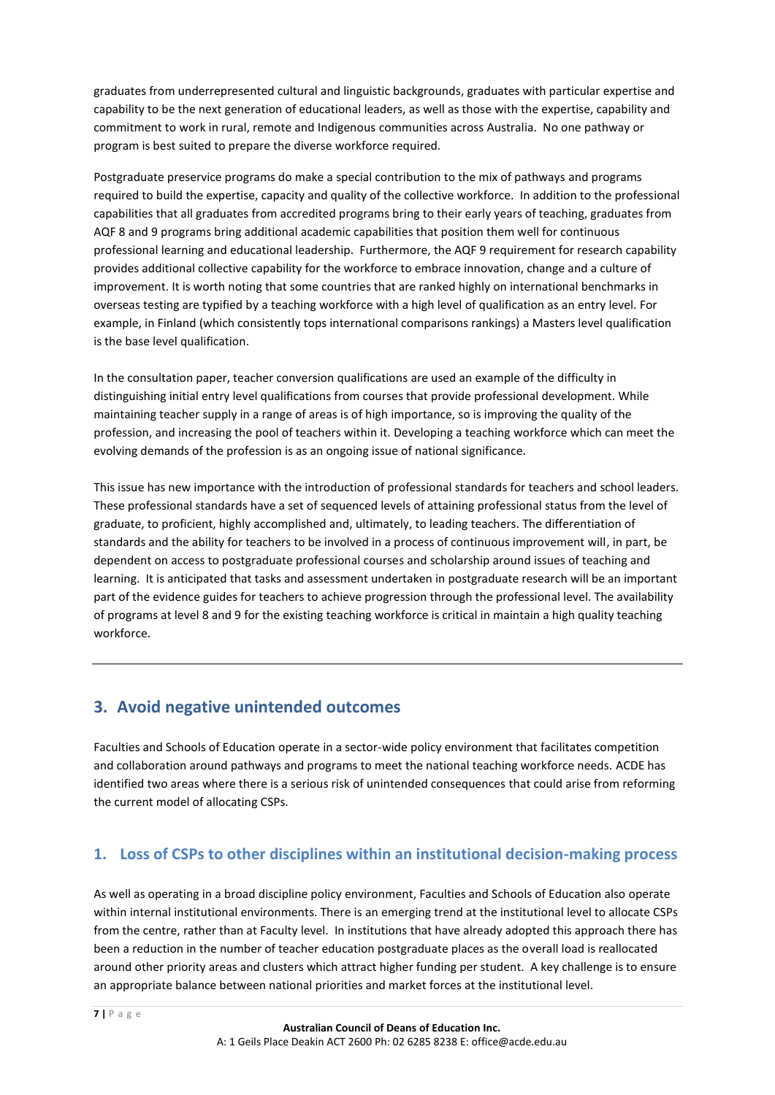graduates from underrepresented cultural and linguistic backgrounds, graduates with particular expertise and capability to be the next generation of educational leaders, as well as those with the expertise, capability and commitment to work in rural, remote and Indigenous communities across Australia. No one pathway or program is best suited to prepare the diverse workforce required.

Postgraduate preservice programs do make a special contribution to the mix of pathways and programs required to build the expertise, capacity and quality of the collective workforce. In addition to the professional capabilities that all graduates from accredited programs bring to their early years of teaching, graduates from AQF 8 and 9 programs bring additional academic capabilities that position them well for continuous professional learning and educational leadership. Furthermore, the AQF 9 requirement for research capability provides additional collective capability for the workforce to embrace innovation, change and a culture of improvement. It is worth noting that some countries that are ranked highly on international benchmarks in overseas testing are typified by a teaching workforce with a high level of qualification as an entry level. For example, in Finland (which consistently tops international comparisons rankings) a Masters level qualification is the base level qualification.

In the consultation paper, teacher conversion qualifications are used an example of the difficulty in distinguishing initial entry level qualifications from courses that provide professional development. While maintaining teacher supply in a range of areas is of high importance, so is improving the quality of the profession, and increasing the pool of teachers within it. Developing a teaching workforce which can meet the evolving demands of the profession is as an ongoing issue of national significance.

This issue has new importance with the introduction of professional standards for teachers and school leaders. These professional standards have a set of sequenced levels of attaining professional status from the level of graduate, to proficient, highly accomplished and, ultimately, to leading teachers. The differentiation of standards and the ability for teachers to be involved in a process of continuous improvement will, in part, be dependent on access to postgraduate professional courses and scholarship around issues of teaching and learning. It is anticipated that tasks and assessment undertaken in postgraduate research will be an important part of the evidence guides for teachers to achieve progression through the professional level. The availability of programs at level 8 and 9 for the existing teaching workforce is critical in maintain a high quality teaching workforce.

## <span id="page-6-0"></span>**3. Avoid negative unintended outcomes**

Faculties and Schools of Education operate in a sector-wide policy environment that facilitates competition and collaboration around pathways and programs to meet the national teaching workforce needs. ACDE has identified two areas where there is a serious risk of unintended consequences that could arise from reforming the current model of allocating CSPs.

#### <span id="page-6-1"></span>**1. Loss of CSPs to other disciplines within an institutional decision-making process**

As well as operating in a broad discipline policy environment, Faculties and Schools of Education also operate within internal institutional environments. There is an emerging trend at the institutional level to allocate CSPs from the centre, rather than at Faculty level. In institutions that have already adopted this approach there has been a reduction in the number of teacher education postgraduate places as the overall load is reallocated around other priority areas and clusters which attract higher funding per student. A key challenge is to ensure an appropriate balance between national priorities and market forces at the institutional level.